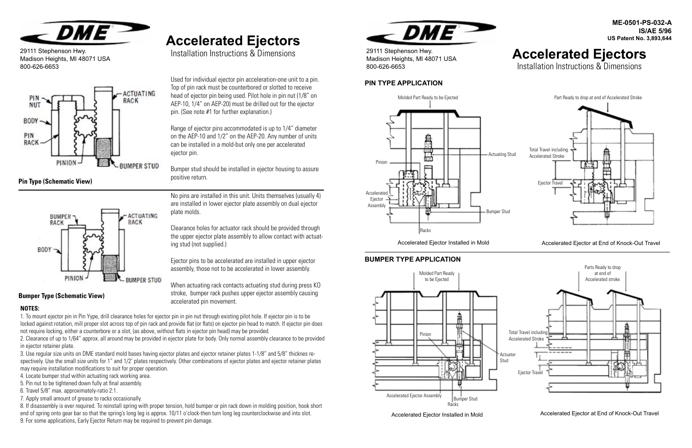29111 Stephenson Hwy. Madison Heights, MI 48071 USA 800-626-6653

# **ME-0501-PS-032-A IS/AE 5/96 US Patent No. 3,893,644 Accelerated Ejectors** Installation Instructions & Dimensions

Accelerated Ejector Installed in Mold **Accelerated Ejector at End of Knock-Out Travel** Accelerated Ejector at End of Knock-Out Travel

# **PIN TYPE APPLICATION**

## **BUMPER TYPE APPLICATION**

Accelerated Ejector Installed in Mold Accelerated Ejector at End of Knock-Out Travel







29111 Stephenson Hwy. Madison Heights, MI 48071 USA 800-626-6653



# **Accelerated Ejectors**

Installation Instructions & Dimensions

Used for individual ejector pin acceleration-one unit to a pin. Top of pin rack must be counterbored or slotted to receive head of ejector pin being used. Pilot hole in pin nut (1/8" on AEP-10, 1/4" on AEP-20) must be drilled out for the ejector pin. (See note #1 for further explanation.)

Range of ejector pins accommodated is up to 1/4" diameter on the AEP-10 and 1/2" on the AEP-20. Any number of units can be installed in a mold-but only one per accelerated ejector pin.

Bumper stud should be installed in ejector housing to assure positive return.

No pins are installed in this unit. Units themselves (usually 4) are installed in lower ejector plate assembly on dual ejector plate molds.

Clearance holes for actuator rack should be provided through the upper ejector plate assembly to allow contact with actuating stud (not supplied.)

Ejector pins to be accelerated are installed in upper ejector assembly, those not to be accelerated in lower assembly.

When actuating rack contacts actuating stud during press KO stroke, bumper rack pushes upper ejector assembly causing accelerated pin movement.



#### **NOTES:**

1. To mount ejector pin in Pin Yype, drill clearance holes for ejector pin in pin nut through existing pilot hole. If ejector pin is to be locked against rotation, mill proper slot across top of pin rack and provide flat (or flats) on ejector pin head to match. If ejector pin does not require locking, either a counterbore or a slot, (as above, without flats in ejector pin head) may be provided.

2. Clearance of up to 1/64" approx. all around may be provided in ejector plate for body. Only normal assembly clearance to be provided in ejector retainer plate.

3. Use regular size units on DME standard mold bases having ejector plates and ejector retainer plates 1-1/8" and 5/8" thicknes respectively. Use the small size units for 1" and 1/2' plates respectively. Other combinations of ejector plates and ejector retainer plates may require installation modifications to suit for proper operation.

- 4. Locate bumper stud within actuating rack working area.
- 5. Pin nut to be tightened down fully at final assembly.
- 6. Travel 5/8" max. approximately-ratio 2:1.
- 7. Apply small amount of grease to racks occasionally.

8. If disassembly is ever required. To reinstall spring with proper tension, hold bumper or pin rack down in molding position, hook short end of spring onto gear bar so that the spring's long leg is approx. 10/11 o'clock-then turn long leg counterclockwise and into slot. 9. For some applications, Early Ejector Return may be required to prevent pin damage.

**Pin Type (Schematic View)**



#### **Bumper Type (Schematic View)**